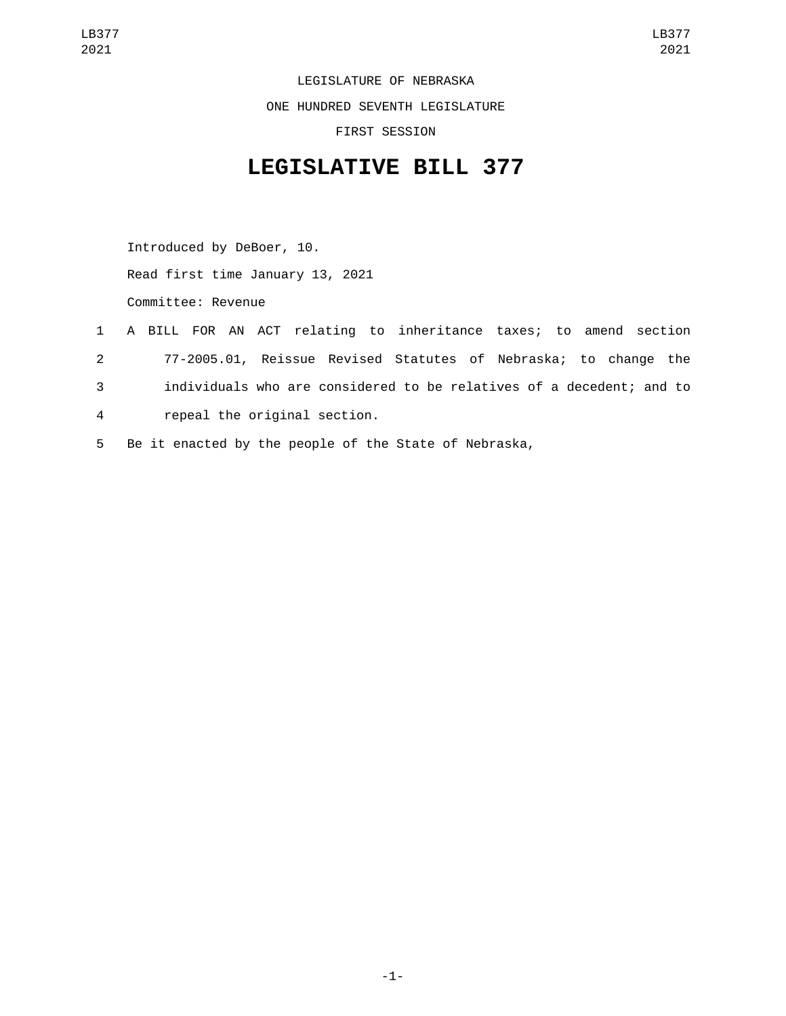LEGISLATURE OF NEBRASKA ONE HUNDRED SEVENTH LEGISLATURE FIRST SESSION

## **LEGISLATIVE BILL 377**

Introduced by DeBoer, 10. Read first time January 13, 2021 Committee: Revenue

- 1 A BILL FOR AN ACT relating to inheritance taxes; to amend section 2 77-2005.01, Reissue Revised Statutes of Nebraska; to change the 3 individuals who are considered to be relatives of a decedent; and to 4 repeal the original section.
- 5 Be it enacted by the people of the State of Nebraska,